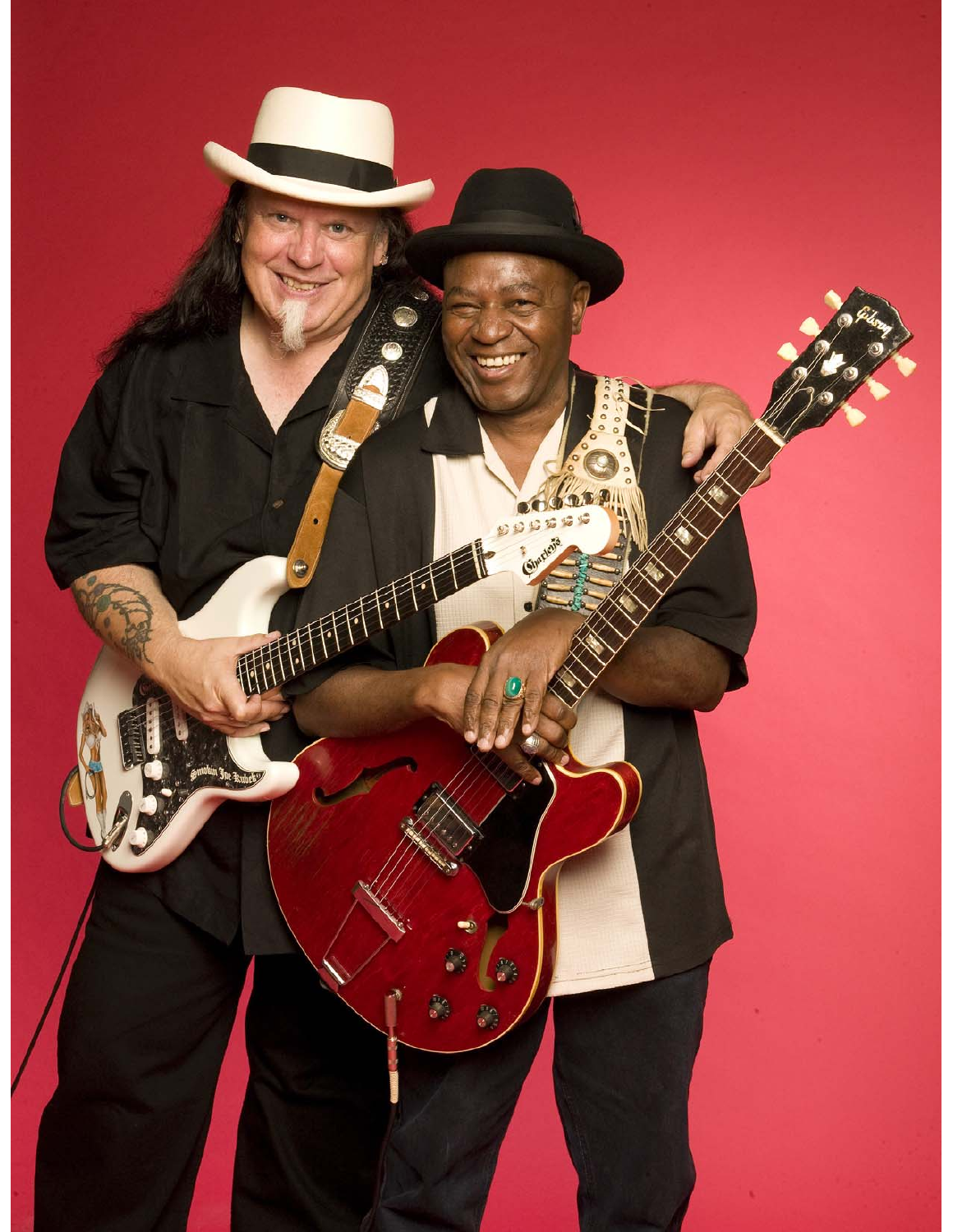